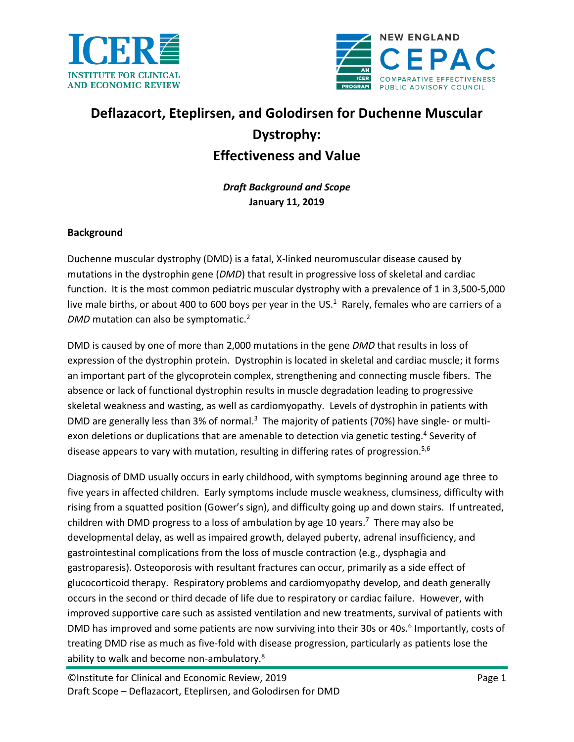



# **Deflazacort, Eteplirsen, and Golodirsen for Duchenne Muscular Dystrophy: Effectiveness and Value**

*Draft Background and Scope* **January 11, 2019**

## **Background**

Duchenne muscular dystrophy (DMD) is a fatal, X-linked neuromuscular disease caused by mutations in the dystrophin gene (*DMD*) that result in progressive loss of skeletal and cardiac function. It is the most common pediatric muscular dystrophy with a prevalence of 1 in 3,500-5,000 live male births, or about 400 to 600 boys per year in the US[.](#page-12-0)<sup>1</sup> Rarely, females who are carriers of a *DMD* mutation can also be symptomatic.[2](#page-12-1)

DMD is caused by one of more than 2,000 mutations in the gene *DMD* that results in loss of expression of the dystrophin protein. Dystrophin is located in skeletal and cardiac muscle; it forms an important part of the glycoprotein complex, strengthening and connecting muscle fibers. The absence or lack of functional dystrophin results in muscle degradation leading to progressive skeletal weakness and wasting, as well as cardiomyopathy. Levels of dystrophin in patients with DMD are generally less than [3](#page-12-2)% of normal.<sup>3</sup> The majority of patients (70%) have single- or multi-exon deletions or duplications that are amenable to detection via genetic testing[.](#page-12-3)<sup>4</sup> Severity of disease appears to vary with mutation, resulting in differing rates of progression.<sup>[5](#page-12-4)[,6](#page-12-5)</sup>

Diagnosis of DMD usually occurs in early childhood, with symptoms beginning around age three to five years in affected children. Early symptoms include muscle weakness, clumsiness, difficulty with rising from a squatted position (Gower's sign), and difficulty going up and down stairs. If untreated, children with DMD progress to a loss of ambulation by age 10 years.<sup>[7](#page-12-6)</sup> There may also be developmental delay, as well as impaired growth, delayed puberty, adrenal insufficiency, and gastrointestinal complications from the loss of muscle contraction (e.g., dysphagia and gastroparesis). Osteoporosis with resultant fractures can occur, primarily as a side effect of glucocorticoid therapy. Respiratory problems and cardiomyopathy develop, and death generally occurs in the second or third decade of life due to respiratory or cardiac failure. However, with improved supportive care such as assisted ventilation and new treatments, survival of patients with DMD has improved and some patients are now surviving into their 30s or 40s.<sup>[6](#page-12-5)</sup> Importantly, costs of treating DMD rise as much as five-fold with disease progression, particularly as patients lose the ability to walk and become non-ambulatory.<sup>8</sup>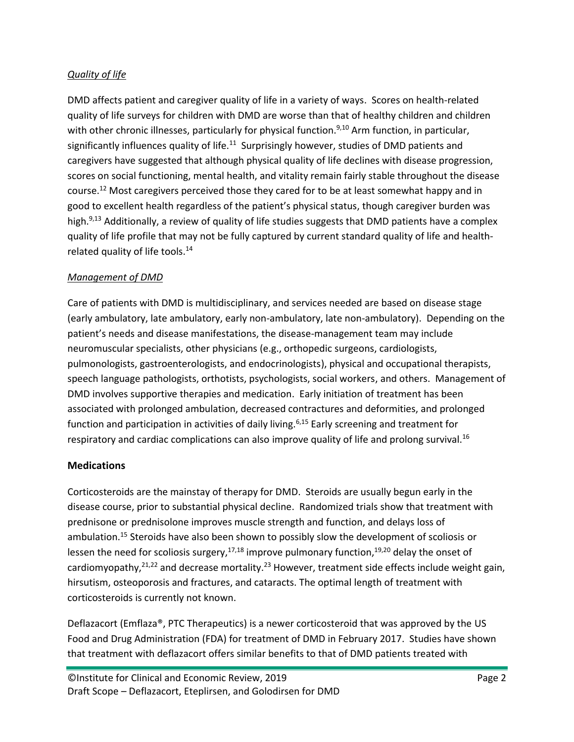## *Quality of life*

DMD affects patient and caregiver quality of life in a variety of ways. Scores on health-related quality of life surveys for children with DMD are worse than that of healthy children and children with other chronic illnesses, particularly for physical function.<sup>[9,](#page-12-8)[10](#page-12-9)</sup> Arm function, in particular, significantly influences quality of life. $^{11}$  $^{11}$  $^{11}$  Surprisingly however, studies of DMD patients and caregivers have suggested that although physical quality of life declines with disease progression, scores on social functioning, mental health, and vitality remain fairly stable throughout the disease course.[12](#page-12-11) Most caregivers perceived those they cared for to be at least somewhat happy and in good to excellent health regardless of the patient's physical status, though caregiver burden was high.<sup>[9,](#page-12-8)[13](#page-12-12)</sup> Additionally, a review of quality of life studies suggests that DMD patients have a complex quality of life profile that may not be fully captured by current standard quality of life and healthrelated quality of life tools. $14$ 

## *Management of DMD*

Care of patients with DMD is multidisciplinary, and services needed are based on disease stage (early ambulatory, late ambulatory, early non-ambulatory, late non-ambulatory). Depending on the patient's needs and disease manifestations, the disease-management team may include neuromuscular specialists, other physicians (e.g., orthopedic surgeons, cardiologists, pulmonologists, gastroenterologists, and endocrinologists), physical and occupational therapists, speech language pathologists, orthotists, psychologists, social workers, and others. Management of DMD involves supportive therapies and medication. Early initiation of treatment has been associated with prolonged ambulation, decreased contractures and deformities, and prolonged function and participation in activities of daily living.<sup>[6,](#page-12-5)[15](#page-12-14)</sup> Early screening and treatment for respiratory and cardiac complications can also improve quality of life and prolong survival.<sup>[16](#page-12-15)</sup>

# **Medications**

Corticosteroids are the mainstay of therapy for DMD. Steroids are usually begun early in the disease course, prior to substantial physical decline. Randomized trials show that treatment with prednisone or prednisolone improves muscle strength and function, and delays loss of ambulation.<sup>[15](#page-12-14)</sup> Steroids have also been shown to possibly slow the development of scoliosis or lessen the need for scoliosis surgery,<sup>[17,](#page-12-16)[18](#page-12-17)</sup> improve pulmonary function,<sup>[19](#page-13-0)[,20](#page-13-1)</sup> delay the onset of cardiomyopathy,<sup>[21,](#page-13-2)[22](#page-13-3)</sup> and decrease mortality.<sup>[23](#page-13-4)</sup> However, treatment side effects include weight gain, hirsutism, osteoporosis and fractures, and cataracts. The optimal length of treatment with corticosteroids is currently not known.

Deflazacort (Emflaza®, PTC Therapeutics) is a newer corticosteroid that was approved by the US Food and Drug Administration (FDA) for treatment of DMD in February 2017. Studies have shown that treatment with deflazacort offers similar benefits to that of DMD patients treated with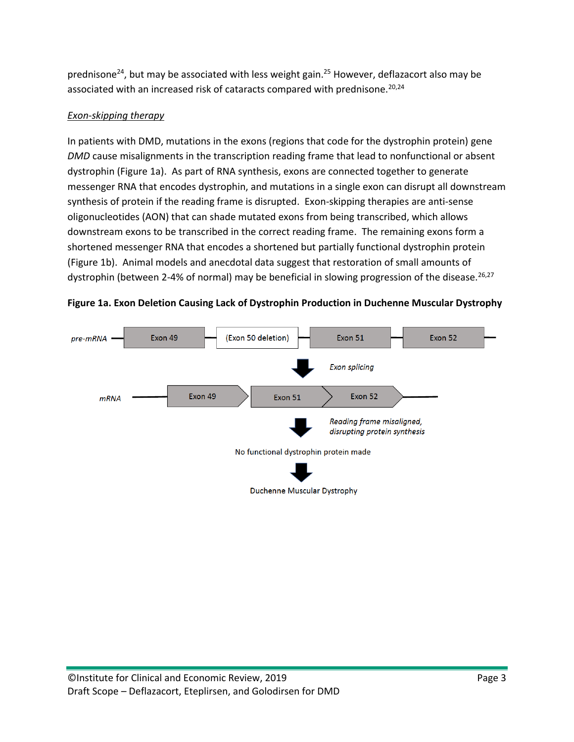prednisone<sup>[24](#page-13-5)</sup>, but may be associated with less weight gain.<sup>[25](#page-13-6)</sup> However, deflazacort also may be associated with an increased risk of cataracts compared with prednisone.<sup>[20](#page-13-1)[,24](#page-13-5)</sup>

# *Exon-skipping therapy*

In patients with DMD, mutations in the exons (regions that code for the dystrophin protein) gene *DMD* cause misalignments in the transcription reading frame that lead to nonfunctional or absent dystrophin (Figure 1a). As part of RNA synthesis, exons are connected together to generate messenger RNA that encodes dystrophin, and mutations in a single exon can disrupt all downstream synthesis of protein if the reading frame is disrupted. Exon-skipping therapies are anti-sense oligonucleotides (AON) that can shade mutated exons from being transcribed, which allows downstream exons to be transcribed in the correct reading frame. The remaining exons form a shortened messenger RNA that encodes a shortened but partially functional dystrophin protein (Figure 1b). Animal models and anecdotal data suggest that restoration of small amounts of dystrophin (between 2-4% of normal) may be beneficial in slowing progression of the disease.<sup>[26,](#page-13-7)[27](#page-13-8)</sup>



**Figure 1a. Exon Deletion Causing Lack of Dystrophin Production in Duchenne Muscular Dystrophy**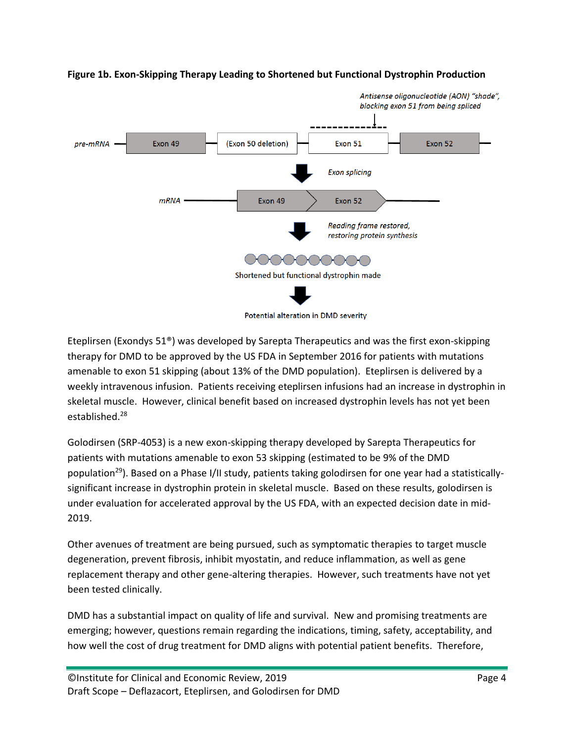

#### **Figure 1b. Exon-Skipping Therapy Leading to Shortened but Functional Dystrophin Production**

Potential alteration in DMD severity

Eteplirsen (Exondys 51®) was developed by Sarepta Therapeutics and was the first exon-skipping therapy for DMD to be approved by the US FDA in September 2016 for patients with mutations amenable to exon 51 skipping (about 13% of the DMD population). Eteplirsen is delivered by a weekly intravenous infusion. Patients receiving eteplirsen infusions had an increase in dystrophin in skeletal muscle. However, clinical benefit based on increased dystrophin levels has not yet been established.[28](#page-13-9)

Golodirsen (SRP-4053) is a new exon-skipping therapy developed by Sarepta Therapeutics for patients with mutations amenable to exon 53 skipping (estimated to be 9% of the DMD population[29](#page-13-10)). Based on a Phase I/II study, patients taking golodirsen for one year had a statisticallysignificant increase in dystrophin protein in skeletal muscle. Based on these results, golodirsen is under evaluation for accelerated approval by the US FDA, with an expected decision date in mid-2019.

Other avenues of treatment are being pursued, such as symptomatic therapies to target muscle degeneration, prevent fibrosis, inhibit myostatin, and reduce inflammation, as well as gene replacement therapy and other gene-altering therapies. However, such treatments have not yet been tested clinically.

DMD has a substantial impact on quality of life and survival. New and promising treatments are emerging; however, questions remain regarding the indications, timing, safety, acceptability, and how well the cost of drug treatment for DMD aligns with potential patient benefits. Therefore,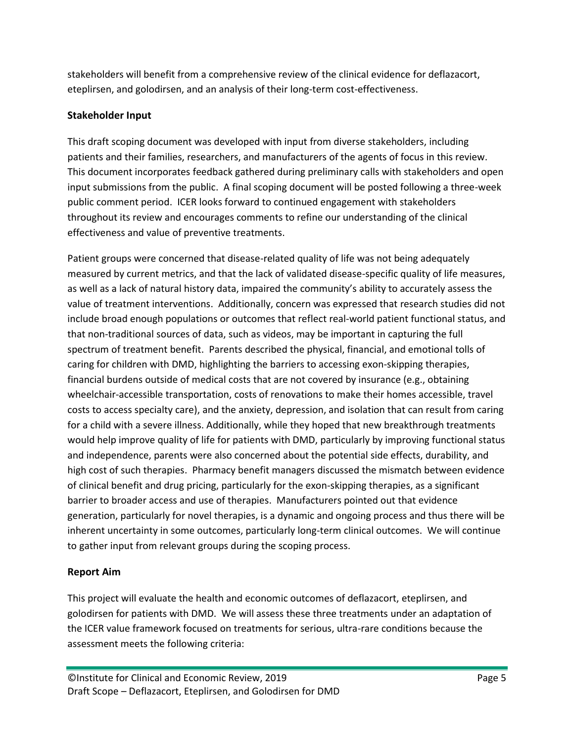stakeholders will benefit from a comprehensive review of the clinical evidence for deflazacort, eteplirsen, and golodirsen, and an analysis of their long-term cost-effectiveness.

## **Stakeholder Input**

This draft scoping document was developed with input from diverse stakeholders, including patients and their families, researchers, and manufacturers of the agents of focus in this review. This document incorporates feedback gathered during preliminary calls with stakeholders and open input submissions from the public. A final scoping document will be posted following a three-week public comment period. ICER looks forward to continued engagement with stakeholders throughout its review and encourages comments to refine our understanding of the clinical effectiveness and value of preventive treatments.

Patient groups were concerned that disease-related quality of life was not being adequately measured by current metrics, and that the lack of validated disease-specific quality of life measures, as well as a lack of natural history data, impaired the community's ability to accurately assess the value of treatment interventions. Additionally, concern was expressed that research studies did not include broad enough populations or outcomes that reflect real-world patient functional status, and that non-traditional sources of data, such as videos, may be important in capturing the full spectrum of treatment benefit. Parents described the physical, financial, and emotional tolls of caring for children with DMD, highlighting the barriers to accessing exon-skipping therapies, financial burdens outside of medical costs that are not covered by insurance (e.g., obtaining wheelchair-accessible transportation, costs of renovations to make their homes accessible, travel costs to access specialty care), and the anxiety, depression, and isolation that can result from caring for a child with a severe illness. Additionally, while they hoped that new breakthrough treatments would help improve quality of life for patients with DMD, particularly by improving functional status and independence, parents were also concerned about the potential side effects, durability, and high cost of such therapies. Pharmacy benefit managers discussed the mismatch between evidence of clinical benefit and drug pricing, particularly for the exon-skipping therapies, as a significant barrier to broader access and use of therapies. Manufacturers pointed out that evidence generation, particularly for novel therapies, is a dynamic and ongoing process and thus there will be inherent uncertainty in some outcomes, particularly long-term clinical outcomes. We will continue to gather input from relevant groups during the scoping process.

# **Report Aim**

This project will evaluate the health and economic outcomes of deflazacort, eteplirsen, and golodirsen for patients with DMD. We will assess these three treatments under an adaptation of the ICER value framework focused on treatments for serious, ultra-rare conditions because the assessment meets the following criteria: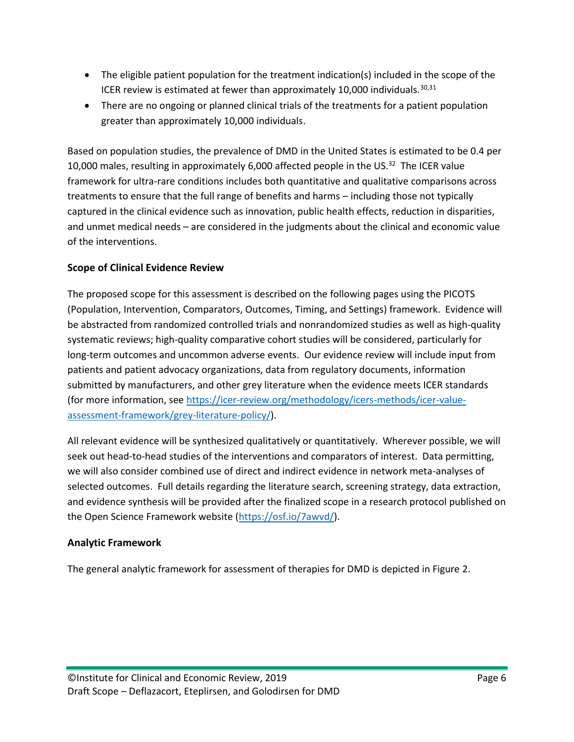- The eligible patient population for the treatment indication(s) included in the scope of the ICER review is estimated at fewer than approximately 10,000 individuals. $30,31$  $30,31$
- There are no ongoing or planned clinical trials of the treatments for a patient population greater than approximately 10,000 individuals.

Based on population studies, the prevalence of DMD in the United States is estimated to be 0.4 per 10,000 males, resulting in approximately 6,000 affected people in the US. $32$  The ICER value framework for ultra-rare conditions includes both quantitative and qualitative comparisons across treatments to ensure that the full range of benefits and harms – including those not typically captured in the clinical evidence such as innovation, public health effects, reduction in disparities, and unmet medical needs – are considered in the judgments about the clinical and economic value of the interventions.

## **Scope of Clinical Evidence Review**

The proposed scope for this assessment is described on the following pages using the PICOTS (Population, Intervention, Comparators, Outcomes, Timing, and Settings) framework. Evidence will be abstracted from randomized controlled trials and nonrandomized studies as well as high-quality systematic reviews; high-quality comparative cohort studies will be considered, particularly for long-term outcomes and uncommon adverse events. Our evidence review will include input from patients and patient advocacy organizations, data from regulatory documents, information submitted by manufacturers, and other grey literature when the evidence meets ICER standards (for more information, see [https://icer-review.org/methodology/icers-methods/icer-value](https://icer-review.org/methodology/icers-methods/icer-value-assessment-framework/grey-literature-policy/)[assessment-framework/grey-literature-policy/\)](https://icer-review.org/methodology/icers-methods/icer-value-assessment-framework/grey-literature-policy/).

All relevant evidence will be synthesized qualitatively or quantitatively. Wherever possible, we will seek out head-to-head studies of the interventions and comparators of interest. Data permitting, we will also consider combined use of direct and indirect evidence in network meta-analyses of selected outcomes. Full details regarding the literature search, screening strategy, data extraction, and evidence synthesis will be provided after the finalized scope in a research protocol published on the Open Science Framework website [\(https://osf.io/7awvd/\)](https://osf.io/7awvd/).

#### **Analytic Framework**

The general analytic framework for assessment of therapies for DMD is depicted in Figure 2.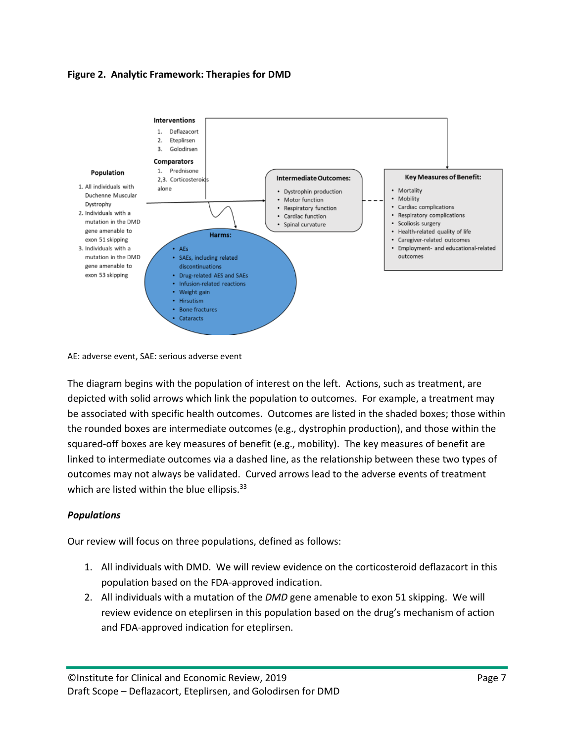#### **Figure 2. Analytic Framework: Therapies for DMD**



AE: adverse event, SAE: serious adverse event

The diagram begins with the population of interest on the left. Actions, such as treatment, are depicted with solid arrows which link the population to outcomes. For example, a treatment may be associated with specific health outcomes. Outcomes are listed in the shaded boxes; those within the rounded boxes are intermediate outcomes (e.g., dystrophin production), and those within the squared-off boxes are key measures of benefit (e.g., mobility). The key measures of benefit are linked to intermediate outcomes via a dashed line, as the relationship between these two types of outcomes may not always be validated. Curved arrows lead to the adverse events of treatment which are listed within the blue ellipsis.<sup>[33](#page-13-14)</sup>

#### *Populations*

Our review will focus on three populations, defined as follows:

- 1. All individuals with DMD. We will review evidence on the corticosteroid deflazacort in this population based on the FDA-approved indication.
- 2. All individuals with a mutation of the *DMD* gene amenable to exon 51 skipping. We will review evidence on eteplirsen in this population based on the drug's mechanism of action and FDA-approved indication for eteplirsen.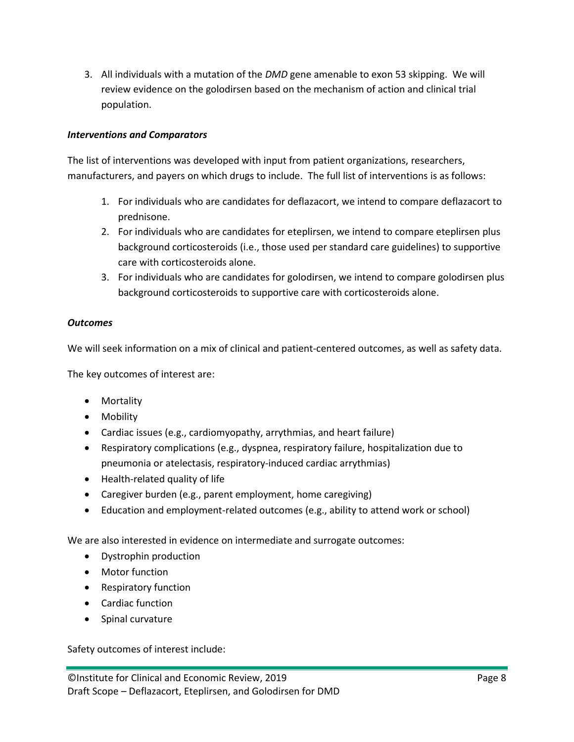3. All individuals with a mutation of the *DMD* gene amenable to exon 53 skipping. We will review evidence on the golodirsen based on the mechanism of action and clinical trial population.

#### *Interventions and Comparators*

The list of interventions was developed with input from patient organizations, researchers, manufacturers, and payers on which drugs to include. The full list of interventions is as follows:

- 1. For individuals who are candidates for deflazacort, we intend to compare deflazacort to prednisone.
- 2. For individuals who are candidates for eteplirsen, we intend to compare eteplirsen plus background corticosteroids (i.e., those used per standard care guidelines) to supportive care with corticosteroids alone.
- 3. For individuals who are candidates for golodirsen, we intend to compare golodirsen plus background corticosteroids to supportive care with corticosteroids alone.

#### *Outcomes*

We will seek information on a mix of clinical and patient-centered outcomes, as well as safety data.

The key outcomes of interest are:

- Mortality
- Mobility
- Cardiac issues (e.g., cardiomyopathy, arrythmias, and heart failure)
- Respiratory complications (e.g., dyspnea, respiratory failure, hospitalization due to pneumonia or atelectasis, respiratory-induced cardiac arrythmias)
- Health-related quality of life
- Caregiver burden (e.g., parent employment, home caregiving)
- Education and employment-related outcomes (e.g., ability to attend work or school)

We are also interested in evidence on intermediate and surrogate outcomes:

- Dystrophin production
- Motor function
- Respiratory function
- Cardiac function
- Spinal curvature

Safety outcomes of interest include: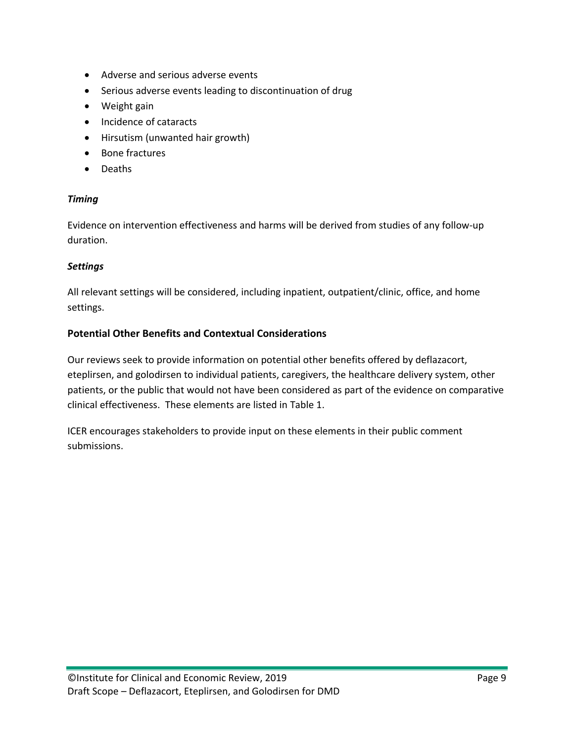- Adverse and serious adverse events
- Serious adverse events leading to discontinuation of drug
- Weight gain
- Incidence of cataracts
- Hirsutism (unwanted hair growth)
- Bone fractures
- Deaths

#### *Timing*

Evidence on intervention effectiveness and harms will be derived from studies of any follow-up duration.

#### *Settings*

All relevant settings will be considered, including inpatient, outpatient/clinic, office, and home settings.

#### **Potential Other Benefits and Contextual Considerations**

Our reviews seek to provide information on potential other benefits offered by deflazacort, eteplirsen, and golodirsen to individual patients, caregivers, the healthcare delivery system, other patients, or the public that would not have been considered as part of the evidence on comparative clinical effectiveness. These elements are listed in Table 1.

ICER encourages stakeholders to provide input on these elements in their public comment submissions.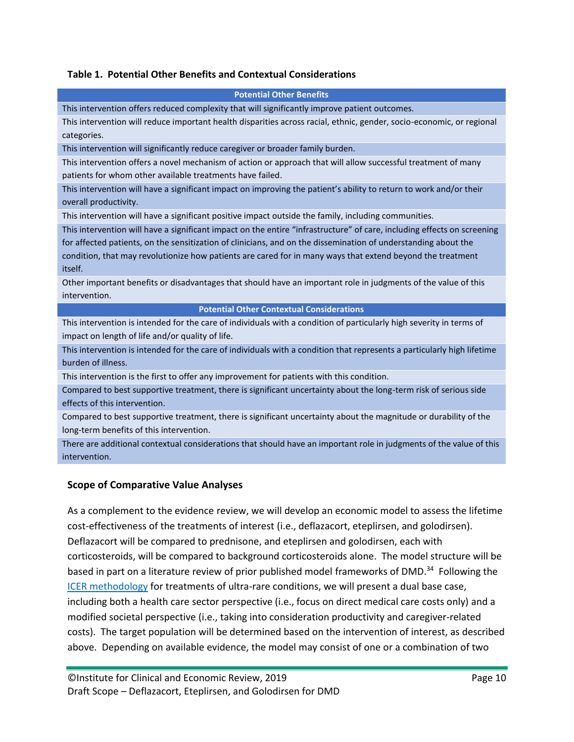#### **Table 1. Potential Other Benefits and Contextual Considerations**

| Table 1. Potential Other Bellefits and Contextual Considerations                                                                                                                                                                                                                                                                                                   |
|--------------------------------------------------------------------------------------------------------------------------------------------------------------------------------------------------------------------------------------------------------------------------------------------------------------------------------------------------------------------|
| <b>Potential Other Benefits</b>                                                                                                                                                                                                                                                                                                                                    |
| This intervention offers reduced complexity that will significantly improve patient outcomes.                                                                                                                                                                                                                                                                      |
| This intervention will reduce important health disparities across racial, ethnic, gender, socio-economic, or regional<br>categories.                                                                                                                                                                                                                               |
| This intervention will significantly reduce caregiver or broader family burden.                                                                                                                                                                                                                                                                                    |
| This intervention offers a novel mechanism of action or approach that will allow successful treatment of many<br>patients for whom other available treatments have failed.                                                                                                                                                                                         |
| This intervention will have a significant impact on improving the patient's ability to return to work and/or their<br>overall productivity.                                                                                                                                                                                                                        |
| This intervention will have a significant positive impact outside the family, including communities.                                                                                                                                                                                                                                                               |
| This intervention will have a significant impact on the entire "infrastructure" of care, including effects on screening<br>for affected patients, on the sensitization of clinicians, and on the dissemination of understanding about the<br>condition, that may revolutionize how patients are cared for in many ways that extend beyond the treatment<br>itself. |
| Other important benefits or disadvantages that should have an important role in judgments of the value of this<br>intervention.                                                                                                                                                                                                                                    |
| <b>Potential Other Contextual Considerations</b>                                                                                                                                                                                                                                                                                                                   |
| This intervention is intended for the care of individuals with a condition of particularly high severity in terms of<br>impact on length of life and/or quality of life.                                                                                                                                                                                           |
| This intervention is intended for the care of individuals with a condition that represents a particularly high lifetime<br>burden of illness.                                                                                                                                                                                                                      |
| This intervention is the first to offer any improvement for patients with this condition.                                                                                                                                                                                                                                                                          |
| Compared to best supportive treatment, there is significant uncertainty about the long-term risk of serious side<br>effects of this intervention.                                                                                                                                                                                                                  |
| Compared to best supportive treatment, there is significant uncertainty about the magnitude or durability of the<br>long-term benefits of this intervention.                                                                                                                                                                                                       |
| There are additional contextual considerations that should have an important role in judgments of the value of this<br>intervention.                                                                                                                                                                                                                               |
| <b>Scope of Comparative Value Analyses</b>                                                                                                                                                                                                                                                                                                                         |

As a complement to the evidence review, we will develop an economic model to assess the lifetime cost-effectiveness of the treatments of interest (i.e., deflazacort, eteplirsen, and golodirsen). Deflazacort will be compared to prednisone, and eteplirsen and golodirsen, each with corticosteroids, will be compared to background corticosteroids alone. The model structure will be based in part on a literature review of prior published model frameworks of DMD.<sup>[34](#page-13-15)</sup> Following the [ICER methodology](https://icer-review.org/wp-content/uploads/2017/11/ICER-Adaptations-of-Value-Framework-for-Rare-Diseases.pdf) for treatments of ultra-rare conditions, we will present a dual base case, including both a health care sector perspective (i.e., focus on direct medical care costs only) and a modified societal perspective (i.e., taking into consideration productivity and caregiver-related costs). The target population will be determined based on the intervention of interest, as described above. Depending on available evidence, the model may consist of one or a combination of two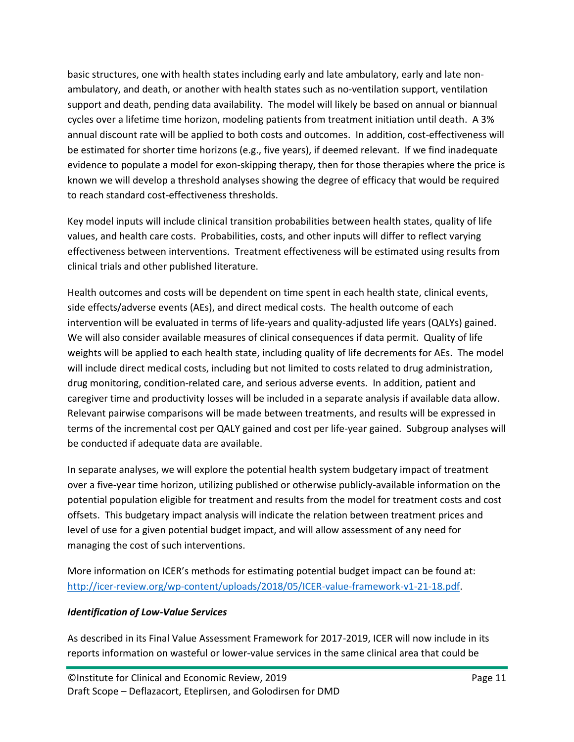basic structures, one with health states including early and late ambulatory, early and late nonambulatory, and death, or another with health states such as no-ventilation support, ventilation support and death, pending data availability. The model will likely be based on annual or biannual cycles over a lifetime time horizon, modeling patients from treatment initiation until death. A 3% annual discount rate will be applied to both costs and outcomes. In addition, cost-effectiveness will be estimated for shorter time horizons (e.g., five years), if deemed relevant. If we find inadequate evidence to populate a model for exon-skipping therapy, then for those therapies where the price is known we will develop a threshold analyses showing the degree of efficacy that would be required to reach standard cost-effectiveness thresholds.

Key model inputs will include clinical transition probabilities between health states, quality of life values, and health care costs. Probabilities, costs, and other inputs will differ to reflect varying effectiveness between interventions. Treatment effectiveness will be estimated using results from clinical trials and other published literature.

Health outcomes and costs will be dependent on time spent in each health state, clinical events, side effects/adverse events (AEs), and direct medical costs. The health outcome of each intervention will be evaluated in terms of life-years and quality-adjusted life years (QALYs) gained. We will also consider available measures of clinical consequences if data permit. Quality of life weights will be applied to each health state, including quality of life decrements for AEs. The model will include direct medical costs, including but not limited to costs related to drug administration, drug monitoring, condition-related care, and serious adverse events. In addition, patient and caregiver time and productivity losses will be included in a separate analysis if available data allow. Relevant pairwise comparisons will be made between treatments, and results will be expressed in terms of the incremental cost per QALY gained and cost per life-year gained. Subgroup analyses will be conducted if adequate data are available.

In separate analyses, we will explore the potential health system budgetary impact of treatment over a five-year time horizon, utilizing published or otherwise publicly-available information on the potential population eligible for treatment and results from the model for treatment costs and cost offsets. This budgetary impact analysis will indicate the relation between treatment prices and level of use for a given potential budget impact, and will allow assessment of any need for managing the cost of such interventions.

More information on ICER's methods for estimating potential budget impact can be found at: [http://icer-review.org/wp-content/uploads/2018/05/ICER-value-framework-v1-21-18.pdf.](http://icer-review.org/wp-content/uploads/2018/05/ICER-value-framework-v1-21-18.pdf)

#### *Identification of Low-Value Services*

As described in its Final Value Assessment Framework for 2017-2019, ICER will now include in its reports information on wasteful or lower-value services in the same clinical area that could be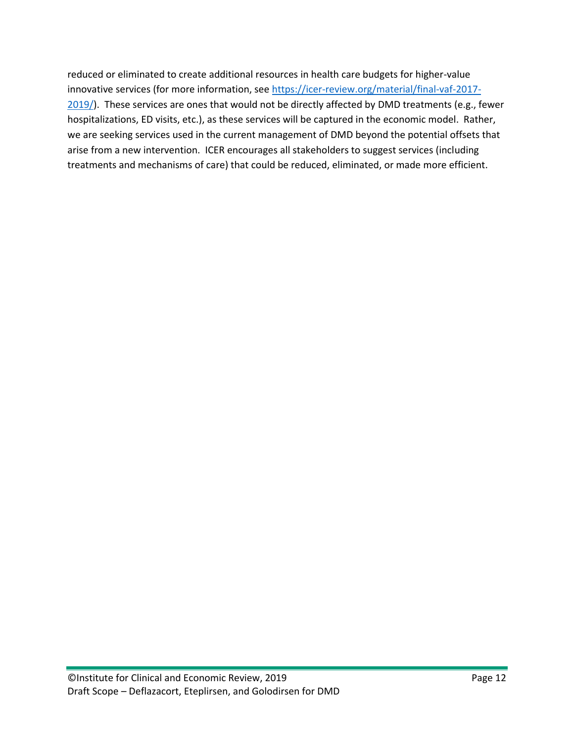reduced or eliminated to create additional resources in health care budgets for higher-value innovative services (for more information, see [https://icer-review.org/material/final-vaf-2017-](https://icer-review.org/material/final-vaf-2017-2019/) [2019/\)](https://icer-review.org/material/final-vaf-2017-2019/). These services are ones that would not be directly affected by DMD treatments (e.g., fewer hospitalizations, ED visits, etc.), as these services will be captured in the economic model. Rather, we are seeking services used in the current management of DMD beyond the potential offsets that arise from a new intervention. ICER encourages all stakeholders to suggest services (including treatments and mechanisms of care) that could be reduced, eliminated, or made more efficient.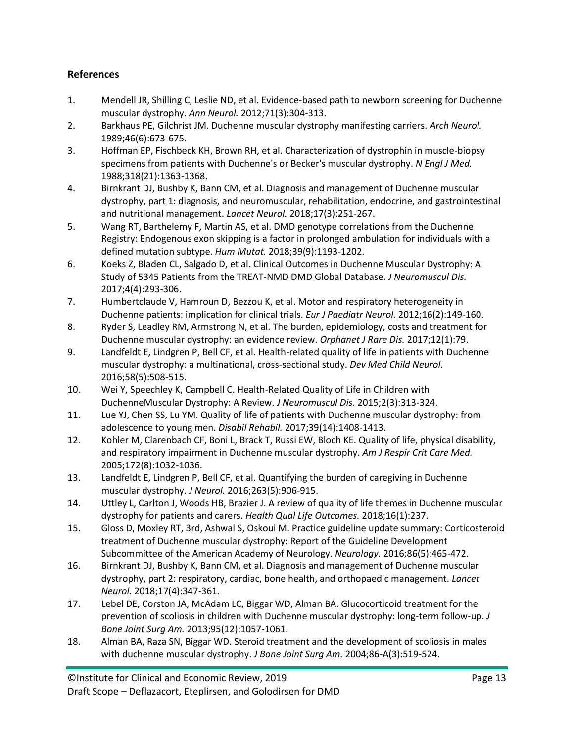## **References**

- <span id="page-12-0"></span>1. Mendell JR, Shilling C, Leslie ND, et al. Evidence-based path to newborn screening for Duchenne muscular dystrophy. *Ann Neurol.* 2012;71(3):304-313.
- <span id="page-12-1"></span>2. Barkhaus PE, Gilchrist JM. Duchenne muscular dystrophy manifesting carriers. *Arch Neurol.*  1989;46(6):673-675.
- <span id="page-12-2"></span>3. Hoffman EP, Fischbeck KH, Brown RH, et al. Characterization of dystrophin in muscle-biopsy specimens from patients with Duchenne's or Becker's muscular dystrophy. *N Engl J Med.*  1988;318(21):1363-1368.
- <span id="page-12-3"></span>4. Birnkrant DJ, Bushby K, Bann CM, et al. Diagnosis and management of Duchenne muscular dystrophy, part 1: diagnosis, and neuromuscular, rehabilitation, endocrine, and gastrointestinal and nutritional management. *Lancet Neurol.* 2018;17(3):251-267.
- <span id="page-12-4"></span>5. Wang RT, Barthelemy F, Martin AS, et al. DMD genotype correlations from the Duchenne Registry: Endogenous exon skipping is a factor in prolonged ambulation for individuals with a defined mutation subtype. *Hum Mutat.* 2018;39(9):1193-1202.
- <span id="page-12-5"></span>6. Koeks Z, Bladen CL, Salgado D, et al. Clinical Outcomes in Duchenne Muscular Dystrophy: A Study of 5345 Patients from the TREAT-NMD DMD Global Database. *J Neuromuscul Dis.*  2017;4(4):293-306.
- <span id="page-12-6"></span>7. Humbertclaude V, Hamroun D, Bezzou K, et al. Motor and respiratory heterogeneity in Duchenne patients: implication for clinical trials. *Eur J Paediatr Neurol.* 2012;16(2):149-160.
- <span id="page-12-7"></span>8. Ryder S, Leadley RM, Armstrong N, et al. The burden, epidemiology, costs and treatment for Duchenne muscular dystrophy: an evidence review. *Orphanet J Rare Dis.* 2017;12(1):79.
- <span id="page-12-8"></span>9. Landfeldt E, Lindgren P, Bell CF, et al. Health-related quality of life in patients with Duchenne muscular dystrophy: a multinational, cross-sectional study. *Dev Med Child Neurol.*  2016;58(5):508-515.
- <span id="page-12-9"></span>10. Wei Y, Speechley K, Campbell C. Health-Related Quality of Life in Children with DuchenneMuscular Dystrophy: A Review. *J Neuromuscul Dis.* 2015;2(3):313-324.
- <span id="page-12-10"></span>11. Lue YJ, Chen SS, Lu YM. Quality of life of patients with Duchenne muscular dystrophy: from adolescence to young men. *Disabil Rehabil.* 2017;39(14):1408-1413.
- <span id="page-12-11"></span>12. Kohler M, Clarenbach CF, Boni L, Brack T, Russi EW, Bloch KE. Quality of life, physical disability, and respiratory impairment in Duchenne muscular dystrophy. *Am J Respir Crit Care Med.*  2005;172(8):1032-1036.
- <span id="page-12-12"></span>13. Landfeldt E, Lindgren P, Bell CF, et al. Quantifying the burden of caregiving in Duchenne muscular dystrophy. *J Neurol.* 2016;263(5):906-915.
- <span id="page-12-13"></span>14. Uttley L, Carlton J, Woods HB, Brazier J. A review of quality of life themes in Duchenne muscular dystrophy for patients and carers. *Health Qual Life Outcomes.* 2018;16(1):237.
- <span id="page-12-14"></span>15. Gloss D, Moxley RT, 3rd, Ashwal S, Oskoui M. Practice guideline update summary: Corticosteroid treatment of Duchenne muscular dystrophy: Report of the Guideline Development Subcommittee of the American Academy of Neurology. *Neurology.* 2016;86(5):465-472.
- <span id="page-12-15"></span>16. Birnkrant DJ, Bushby K, Bann CM, et al. Diagnosis and management of Duchenne muscular dystrophy, part 2: respiratory, cardiac, bone health, and orthopaedic management. *Lancet Neurol.* 2018;17(4):347-361.
- <span id="page-12-16"></span>17. Lebel DE, Corston JA, McAdam LC, Biggar WD, Alman BA. Glucocorticoid treatment for the prevention of scoliosis in children with Duchenne muscular dystrophy: long-term follow-up. *J Bone Joint Surg Am.* 2013;95(12):1057-1061.
- <span id="page-12-17"></span>18. Alman BA, Raza SN, Biggar WD. Steroid treatment and the development of scoliosis in males with duchenne muscular dystrophy. *J Bone Joint Surg Am.* 2004;86-A(3):519-524.